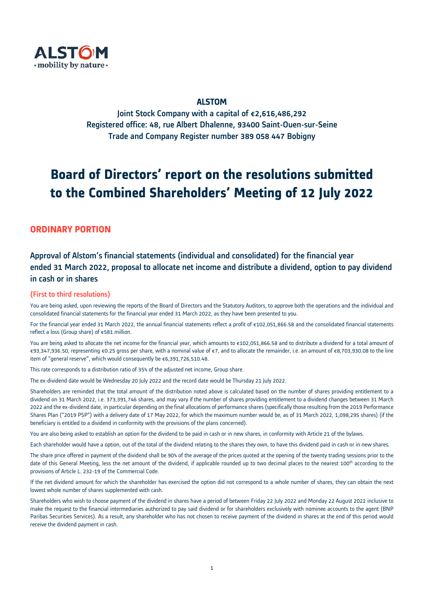

# ALSTOM

Joint Stock Company with a capital of €2,616,486,292 Registered office: 48, rue Albert Dhalenne, 93400 Saint-Ouen-sur-Seine Trade and Company Register number 389 058 447 Bobigny

# **Board of Directors' report on the resolutions submitted to the Combined Shareholders' Meeting of 12 July 2022**

# **ORDINARY PORTION**

# Approval of Alstom's financial statements (individual and consolidated) for the financial year ended 31 March 2022, proposal to allocate net income and distribute a dividend, option to pay dividend in cash or in shares

### (First to third resolutions)

You are being asked, upon reviewing the reports of the Board of Directors and the Statutory Auditors, to approve both the operations and the individual and consolidated financial statements for the financial year ended 31 March 2022, as they have been presented to you.

For the financial year ended 31 March 2022, the annual financial statements reflect a profit of €102,051,866.58 and the consolidated financial statements reflect a loss (Group share) of €581 million.

You are being asked to allocate the net income for the financial year, which amounts to €102,051,866.58 and to distribute a dividend for a total amount of €93,347,936.50, representing €0.25 gross per share, with a nominal value of €7, and to allocate the remainder, i.e. an amount of €8,703,930.08 to the line item of "general reserve", which would consequently be €6,391,726,510.48.

This rate corresponds to a distribution ratio of 35% of the adjusted net income, Group share.

The ex-dividend date would be Wednesday 20 July 2022 and the record date would be Thursday 21 July 2022.

Shareholders are reminded that the total amount of the distribution noted above is calculated based on the number of shares providing entitlement to a dividend on 31 March 2022, i.e. 373,391,746 shares, and may vary if the number of shares providing entitlement to a dividend changes between 31 March 2022 and the ex-dividend date, in particular depending on the final allocations of performance shares (specifically those resulting from the 2019 Performance Shares Plan ("2019 PSP") with a delivery date of 17 May 2022, for which the maximum number would be, as of 31 March 2022, 1,098,295 shares) (if the beneficiary is entitled to a dividend in conformity with the provisions of the plans concerned).

You are also being asked to establish an option for the dividend to be paid in cash or in new shares, in conformity with Article 21 of the bylaws.

Each shareholder would have a option, out of the total of the dividend relating to the shares they own, to have this dividend paid in cash or in new shares.

The share price offered in payment of the dividend shall be 90% of the average of the prices quoted at the opening of the twenty trading sessions prior to the date of this General Meeting, less the net amount of the dividend, if applicable rounded up to two decimal places to the nearest 100<sup>th</sup> according to the provisions of Article L. 232-19 of the Commercial Code.

If the net dividend amount for which the shareholder has exercised the option did not correspond to a whole number of shares, they can obtain the next lowest whole number of shares supplemented with cash.

Shareholders who wish to choose payment of the dividend in shares have a period of between Friday 22 July 2022 and Monday 22 August 2022 inclusive to make the request to the financial intermediaries authorized to pay said dividend or for shareholders exclusively with nominee accounts to the agent (BNP Paribas Securities Services). As a result, any shareholder who has not chosen to receive payment of the dividend in shares at the end of this period would receive the dividend payment in cash.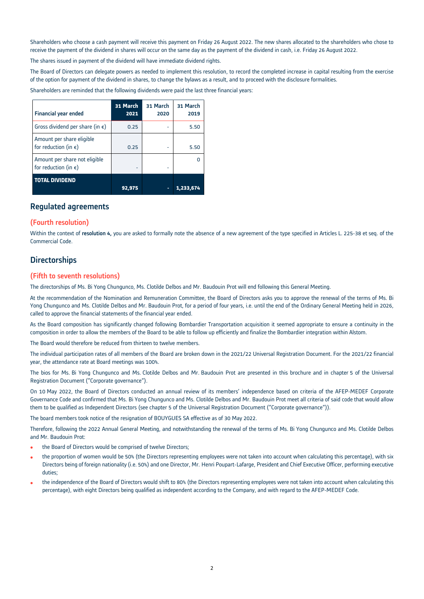Shareholders who choose a cash payment will receive this payment on Friday 26 August 2022. The new shares allocated to the shareholders who chose to receive the payment of the dividend in shares will occur on the same day as the payment of the dividend in cash, i.e. Friday 26 August 2022.

The shares issued in payment of the dividend will have immediate dividend rights.

The Board of Directors can delegate powers as needed to implement this resolution, to record the completed increase in capital resulting from the exercise of the option for payment of the dividend in shares, to change the bylaws as a result, and to proceed with the disclosure formalities.

Shareholders are reminded that the following dividends were paid the last three financial years:

| <b>Financial year ended</b>                                     | 31 March<br>2021 | 31 March<br>2020 | 31 March<br>2019 |
|-----------------------------------------------------------------|------------------|------------------|------------------|
| Gross dividend per share (in $\epsilon$ )                       | 0.25             |                  | 5.50             |
| Amount per share eligible<br>for reduction (in $\epsilon$ )     | 0.25             |                  | 5.50             |
| Amount per share not eligible<br>for reduction (in $\epsilon$ ) |                  |                  |                  |
| <b>TOTAL DIVIDEND</b>                                           | 92.975           | ۰                | 1.233            |

### Regulated agreements

#### (Fourth resolution)

Within the context of resolution 4, you are asked to formally note the absence of a new agreement of the type specified in Articles L. 225-38 et seq. of the Commercial Code.

# **Directorships**

#### (Fifth to seventh resolutions)

The directorships of Ms. Bi Yong Chungunco, Ms. Clotilde Delbos and Mr. Baudouin Prot will end following this General Meeting.

At the recommendation of the Nomination and Remuneration Committee, the Board of Directors asks you to approve the renewal of the terms of Ms. Bi Yong Chungunco and Ms. Clotilde Delbos and Mr. Baudouin Prot, for a period of four years, i.e. until the end of the Ordinary General Meeting held in 2026, called to approve the financial statements of the financial year ended.

As the Board composition has significantly changed following Bombardier Transportation acquisition it seemed appropriate to ensure a continuity in the composition in order to allow the members of the Board to be able to follow up efficiently and finalize the Bombardier integration within Alstom.

The Board would therefore be reduced from thirteen to twelve members.

The individual participation rates of all members of the Board are broken down in the 2021/22 Universal Registration Document. For the 2021/22 financial year, the attendance rate at Board meetings was 100%.

The bios for Ms. Bi Yong Chungunco and Ms. Clotilde Delbos and Mr. Baudouin Prot are presented in this brochure and in chapter 5 of the Universal Registration Document ("Corporate governance").

On 10 May 2022, the Board of Directors conducted an annual review of its members' independence based on criteria of the AFEP-MEDEF Corporate Governance Code and confirmed that Ms. Bi Yong Chungunco and Ms. Clotilde Delbos and Mr. Baudouin Prot meet all criteria of said code that would allow them to be qualified as Independent Directors (see chapter 5 of the Universal Registration Document ("Corporate governance")).

The board members took notice of the resignation of BOUYGUES SA effective as of 30 May 2022.

Therefore, following the 2022 Annual General Meeting, and notwithstanding the renewal of the terms of Ms. Bi Yong Chungunco and Ms. Clotilde Delbos and Mr. Baudouin Prot:

- the Board of Directors would be comprised of twelve Directors;
- the proportion of women would be 50% (the Directors representing employees were not taken into account when calculating this percentage), with six Directors being of foreign nationality (i.e. 50%) and one Director, Mr. Henri Poupart-Lafarge, President and Chief Executive Officer, performing executive duties;
- the independence of the Board of Directors would shift to 80% (the Directors representing employees were not taken into account when calculating this percentage), with eight Directors being qualified as independent according to the Company, and with regard to the AFEP-MEDEF Code.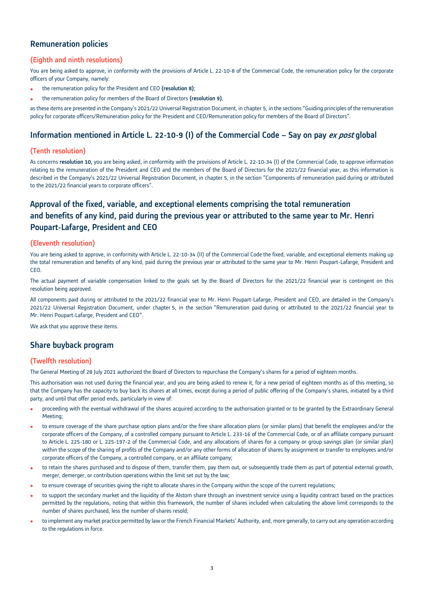# Remuneration policies

## (Eighth and ninth resolutions)

You are being asked to approve, in conformity with the provisions of Article L. 22-10-8 of the Commercial Code, the remuneration policy for the corporate officers of your Company, namely:

- the remuneration policy for the President and CEO (resolution 8);
- the remuneration policy for members of the Board of Directors (resolution 9),

as these items are presented in the Company's 2021/22 Universal Registration Document, in chapter 5, in the sections "Guiding principles of the remuneration policy for corporate officers/Remuneration policy for the President and CEO/Remuneration policy for members of the Board of Directors".

# Information mentioned in Article L. 22-10-9 (I) of the Commercial Code – Say on pay ex post global

#### (Tenth resolution)

As concerns resolution 10, you are being asked, in conformity with the provisions of Article L. 22-10-34 (I) of the Commercial Code, to approve information relating to the remuneration of the President and CEO and the members of the Board of Directors for the 2021/22 financial year, as this information is described in the Company's 2021/22 Universal Registration Document, in chapter 5, in the section "Components of remuneration paid during or attributed to the 2021/22 financial years to corporate officers".

# Approval of the fixed, variable, and exceptional elements comprising the total remuneration and benefits of any kind, paid during the previous year or attributed to the same year to Mr. Henri Poupart-Lafarge, President and CEO

#### (Eleventh resolution)

You are being asked to approve, in conformity with Article L. 22-10-34 (II) of the Commercial Code the fixed, variable, and exceptional elements making up the total remuneration and benefits of any kind, paid during the previous year or attributed to the same year to Mr. Henri Poupart-Lafarge, President and CEO.

The actual payment of variable compensation linked to the goals set by the Board of Directors for the 2021/22 financial year is contingent on this resolution being approved.

All components paid during or attributed to the 2021/22 financial year to Mr. Henri Poupart-Lafarge, President and CEO, are detailed in the Company's 2021/22 Universal Registration Document, under chapter 5, in the section "Remuneration paid during or attributed to the 2021/22 financial year to Mr. Henri Poupart-Lafarge, President and CEO".

We ask that you approve these items.

# Share buyback program

#### (Twelfth resolution)

The General Meeting of 28 July 2021 authorized the Board of Directors to repurchase the Company's shares for a period of eighteen months.

This authorisation was not used during the financial year, and you are being asked to renew it, for a new period of eighteen months as of this meeting, so that the Company has the capacity to buy back its shares at all times, except during a period of public offering of the Company's shares, initiated by a third party, and until that offer period ends, particularly in view of:

- proceeding with the eventual withdrawal of the shares acquired according to the authorisation granted or to be granted by the Extraordinary General Meeting;
- to ensure coverage of the share purchase option plans and/or the free share allocation plans (or similar plans) that benefit the employees and/or the corporate officers of the Company, of a controlled company pursuant to Article L. 233-16 of the Commercial Code, or of an affiliate company pursuant to Article L. 225-180 or L. 225-197-2 of the Commercial Code, and any allocations of shares for a company or group savings plan (or similar plan) within the scope of the sharing of profits of the Company and/or any other forms of allocation of shares by assignment or transfer to employees and/or corporate officers of the Company, a controlled company, or an affiliate company;
- to retain the shares purchased and to dispose of them, transfer them, pay them out, or subsequently trade them as part of potential external growth, merger, demerger, or contribution operations within the limit set out by the law;
- to ensure coverage of securities giving the right to allocate shares in the Company within the scope of the current regulations;
- to support the secondary market and the liquidity of the Alstom share through an investment service using a liquidity contract based on the practices permitted by the regulations, noting that within this framework, the number of shares included when calculating the above limit corresponds to the number of shares purchased, less the number of shares resold;
- to implement any market practice permitted by law or the French Financial Markets' Authority, and, more generally, to carry out any operation according to the regulations in force.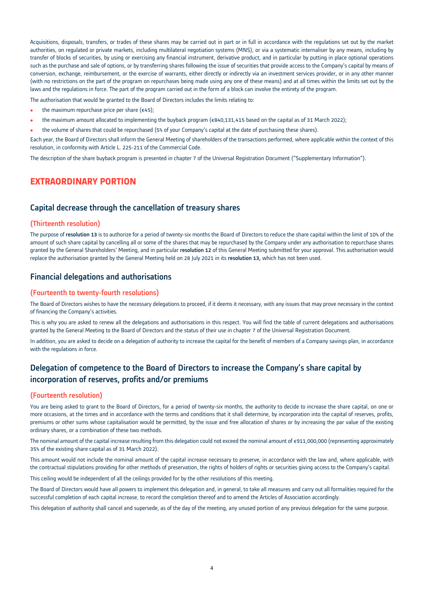Acquisitions, disposals, transfers, or trades of these shares may be carried out in part or in full in accordance with the regulations set out by the market authorities, on regulated or private markets, including multilateral negotiation systems (MNS), or via a systematic internaliser by any means, including by transfer of blocks of securities, by using or exercising any financial instrument, derivative product, and in particular by putting in place optional operations such as the purchase and sale of options, or by transferring shares following the issue of securities that provide access to the Company's capital by means of conversion, exchange, reimbursement, or the exercise of warrants, either directly or indirectly via an investment services provider, or in any other manner (with no restrictions on the part of the program on repurchases being made using any one of these means) and at all times within the limits set out by the laws and the regulations in force. The part of the program carried out in the form of a block can involve the entirety of the program.

The authorisation that would be granted to the Board of Directors includes the limits relating to:

- $\bullet$  the maximum repurchase price per share ( $\epsilon$ 45);
- the maximum amount allocated to implementing the buyback program (€840,131,415 based on the capital as of 31 March 2022);
- the volume of shares that could be repurchased (5% of your Company's capital at the date of purchasing these shares).

Each year, the Board of Directors shall inform the General Meeting of shareholders of the transactions performed, where applicable within the context of this resolution, in conformity with Article L. 225-211 of the Commercial Code.

The description of the share buyback program is presented in chapter 7 of the Universal Registration Document ("Supplementary Information").

# **EXTRAORDINARY PORTION**

### Capital decrease through the cancellation of treasury shares

#### (Thirteenth resolution)

The purpose of resolution 13 is to authorize for a period of twenty-six months the Board of Directors to reduce the share capital within the limit of 10% of the amount of such share capital by cancelling all or some of the shares that may be repurchased by the Company under any authorisation to repurchase shares granted by the General Shareholders' Meeting, and in particular resolution 12 of this General Meeting submitted for your approval. This authorisation would replace the authorisation granted by the General Meeting held on 28 July 2021 in its resolution 13, which has not been used.

# Financial delegations and authorisations

#### (Fourteenth to twenty-fourth resolutions)

The Board of Directors wishes to have the necessary delegations to proceed, if it deems it necessary, with any issues that may prove necessary in the context of financing the Company's activities.

This is why you are asked to renew all the delegations and authorisations in this respect. You will find the table of current delegations and authorisations granted by the General Meeting to the Board of Directors and the status of their use in chapter 7 of the Universal Registration Document.

In addition, you are asked to decide on a delegation of authority to increase the capital for the benefit of members of a Company savings plan, in accordance with the regulations in force.

# Delegation of competence to the Board of Directors to increase the Company's share capital by incorporation of reserves, profits and/or premiums

#### (Fourteenth resolution)

You are being asked to grant to the Board of Directors, for a period of twenty-six months, the authority to decide to increase the share capital, on one or more occasions, at the times and in accordance with the terms and conditions that it shall determine, by incorporation into the capital of reserves, profits, premiums or other sums whose capitalisation would be permitted, by the issue and free allocation of shares or by increasing the par value of the existing ordinary shares, or a combination of these two methods.

The nominal amount of the capital increase resulting from this delegation could not exceed the nominal amount of €911,000,000 (representing approximately 35% of the existing share capital as of 31 March 2022).

This amount would not include the nominal amount of the capital increase necessary to preserve, in accordance with the law and, where applicable, with the contractual stipulations providing for other methods of preservation, the rights of holders of rights or securities giving access to the Company's capital.

This ceiling would be independent of all the ceilings provided for by the other resolutions of this meeting.

The Board of Directors would have all powers to implement this delegation and, in general, to take all measures and carry out all formalities required for the successful completion of each capital increase, to record the completion thereof and to amend the Articles of Association accordingly.

This delegation of authority shall cancel and supersede, as of the day of the meeting, any unused portion of any previous delegation for the same purpose.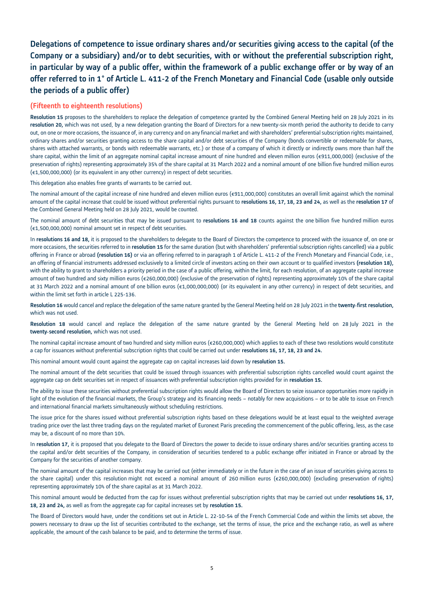# Delegations of competence to issue ordinary shares and/or securities giving access to the capital (of the Company or a subsidiary) and/or to debt securities, with or without the preferential subscription right, in particular by way of a public offer, within the framework of a public exchange offer or by way of an offer referred to in 1° of Article L. 411-2 of the French Monetary and Financial Code (usable only outside the periods of a public offer)

### (Fifteenth to eighteenth resolutions)

Resolution 15 proposes to the shareholders to replace the delegation of competence granted by the Combined General Meeting held on 28 July 2021 in its resolution 20, which was not used, by a new delegation granting the Board of Directors for a new twenty-six month period the authority to decide to carry out, on one or more occasions, the issuance of, in any currency and on any financial market and with shareholders' preferential subscription rights maintained, ordinary shares and/or securities granting access to the share capital and/or debt securities of the Company (bonds convertible or redeemable for shares, shares with attached warrants, or bonds with redeemable warrants, etc.) or those of a company of which it directly or indirectly owns more than half the share capital, within the limit of an aggregate nominal capital increase amount of nine hundred and eleven million euros (€911,000,000) (exclusive of the preservation of rights) representing approximately 35% of the share capital at 31 March 2022 and a nominal amount of one billion five hundred million euros (€1,500,000,000) (or its equivalent in any other currency) in respect of debt securities.

This delegation also enables free grants of warrants to be carried out.

The nominal amount of the capital increase of nine hundred and eleven million euros (€911,000,000) constitutes an overall limit against which the nominal amount of the capital increase that could be issued without preferential rights pursuant to resolutions 16, 17, 18, 23 and 24, as well as the resolution 17 of the Combined General Meeting held on 28 July 2021, would be counted.

The nominal amount of debt securities that may be issued pursuant to resolutions 16 and 18 counts against the one billion five hundred million euros (€1,500,000,000) nominal amount set in respect of debt securities.

In resolutions 16 and 18, it is proposed to the shareholders to delegate to the Board of Directors the competence to proceed with the issuance of, on one or more occasions, the securities referred to in resolution 15 for the same duration (but with shareholders' preferential subscription rights cancelled) via a public offering in France or abroad (resolution 16) or via an offering referred to in paragraph 1 of Article L. 411-2 of the French Monetary and Financial Code, i.e., an offering of financial instruments addressed exclusively to a limited circle of investors acting on their own account or to qualified investors (resolution 18), with the ability to grant to shareholders a priority period in the case of a public offering, within the limit, for each resolution, of an aggregate capital increase amount of two hundred and sixty million euros (€260,000,000) (exclusive of the preservation of rights) representing approximately 10% of the share capital at 31 March 2022 and a nominal amount of one billion euros (€1,000,000,000) (or its equivalent in any other currency) in respect of debt securities, and within the limit set forth in article L 225-136.

Resolution 16 would cancel and replace the delegation of the same nature granted by the General Meeting held on 28 July 2021 in the twenty-first resolution, which was not used.

Resolution 18 would cancel and replace the delegation of the same nature granted by the General Meeting held on 28 July 2021 in the twenty-second resolution, which was not used.

The nominal capital increase amount of two hundred and sixty million euros (€260,000,000) which applies to each of these two resolutions would constitute a cap for issuances without preferential subscription rights that could be carried out under resolutions 16, 17, 18, 23 and 24.

This nominal amount would count against the aggregate cap on capital increases laid down by resolution 15.

The nominal amount of the debt securities that could be issued through issuances with preferential subscription rights cancelled would count against the aggregate cap on debt securities set in respect of issuances with preferential subscription rights provided for in resolution 15.

The ability to issue these securities without preferential subscription rights would allow the Board of Directors to seize issuance opportunities more rapidly in light of the evolution of the financial markets, the Group's strategy and its financing needs – notably for new acquisitions – or to be able to issue on French and international financial markets simultaneously without scheduling restrictions.

The issue price for the shares issued without preferential subscription rights based on these delegations would be at least equal to the weighted average trading price over the last three trading days on the regulated market of Euronext Paris preceding the commencement of the public offering, less, as the case may be, a discount of no more than 10%.

In resolution 17, it is proposed that you delegate to the Board of Directors the power to decide to issue ordinary shares and/or securities granting access to the capital and/or debt securities of the Company, in consideration of securities tendered to a public exchange offer initiated in France or abroad by the Company for the securities of another company.

The nominal amount of the capital increases that may be carried out (either immediately or in the future in the case of an issue of securities giving access to the share capital) under this resolution might not exceed a nominal amount of 260 million euros (€260,000,000) (excluding preservation of rights) representing approximately 10% of the share capital as at 31 March 2022.

This nominal amount would be deducted from the cap for issues without preferential subscription rights that may be carried out under resolutions 16, 17, 18, 23 and 24, as well as from the aggregate cap for capital increases set by resolution 15.

The Board of Directors would have, under the conditions set out in Article L. 22-10-54 of the French Commercial Code and within the limits set above, the powers necessary to draw up the list of securities contributed to the exchange, set the terms of issue, the price and the exchange ratio, as well as where applicable, the amount of the cash balance to be paid, and to determine the terms of issue.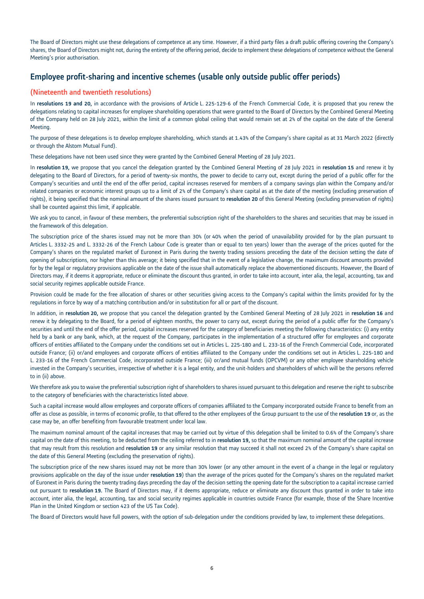The Board of Directors might use these delegations of competence at any time. However, if a third party files a draft public offering covering the Company's shares, the Board of Directors might not, during the entirety of the offering period, decide to implement these delegations of competence without the General Meeting's prior authorisation.

# Employee profit-sharing and incentive schemes (usable only outside public offer periods)

### (Nineteenth and twentieth resolutions)

In resolutions 19 and 20, in accordance with the provisions of Article L. 225-129-6 of the French Commercial Code, it is proposed that you renew the delegations relating to capital increases for employee shareholding operations that were granted to the Board of Directors by the Combined General Meeting of the Company held on 28 July 2021, within the limit of a common global ceiling that would remain set at 2% of the capital on the date of the General Meeting.

The purpose of these delegations is to develop employee shareholding, which stands at 1.43% of the Company's share capital as at 31 March 2022 (directly or through the Alstom Mutual Fund).

These delegations have not been used since they were granted by the Combined General Meeting of 28 July 2021.

In resolution 19, we propose that you cancel the delegation granted by the Combined General Meeting of 28 July 2021 in resolution 15 and renew it by delegating to the Board of Directors, for a period of twenty-six months, the power to decide to carry out, except during the period of a public offer for the Company's securities and until the end of the offer period, capital increases reserved for members of a company savings plan within the Company and/or related companies or economic interest groups up to a limit of 2% of the Company's share capital as at the date of the meeting (excluding preservation of rights), it being specified that the nominal amount of the shares issued pursuant to resolution 20 of this General Meeting (excluding preservation of rights) shall be counted against this limit, if applicable.

We ask you to cancel, in favour of these members, the preferential subscription right of the shareholders to the shares and securities that may be issued in the framework of this delegation.

The subscription price of the shares issued may not be more than 30% (or 40% when the period of unavailability provided for by the plan pursuant to Articles L. 3332-25 and L. 3332-26 of the French Labour Code is greater than or equal to ten years) lower than the average of the prices quoted for the Company's shares on the regulated market of Euronext in Paris during the twenty trading sessions preceding the date of the decision setting the date of opening of subscriptions, nor higher than this average; it being specified that in the event of a legislative change, the maximum discount amounts provided for by the legal or regulatory provisions applicable on the date of the issue shall automatically replace the abovementioned discounts. However, the Board of Directors may, if it deems it appropriate, reduce or eliminate the discount thus granted, in order to take into account, inter alia, the legal, accounting, tax and social security regimes applicable outside France.

Provision could be made for the free allocation of shares or other securities giving access to the Company's capital within the limits provided for by the regulations in force by way of a matching contribution and/or in substitution for all or part of the discount.

In addition, in resolution 20, we propose that you cancel the delegation granted by the Combined General Meeting of 28 July 2021 in resolution 16 and renew it by delegating to the Board, for a period of eighteen months, the power to carry out, except during the period of a public offer for the Company's securities and until the end of the offer period, capital increases reserved for the category of beneficiaries meeting the following characteristics: (i) any entity held by a bank or any bank, which, at the request of the Company, participates in the implementation of a structured offer for employees and corporate officers of entities affiliated to the Company under the conditions set out in Articles L. 225-180 and L. 233-16 of the French Commercial Code, incorporated outside France; (ii) or/and employees and corporate officers of entities affiliated to the Company under the conditions set out in Articles L. 225-180 and L. 233-16 of the French Commercial Code, incorporated outside France; (iii) or/and mutual funds (OPCVM) or any other employee shareholding vehicle invested in the Company's securities, irrespective of whether it is a legal entity, and the unit-holders and shareholders of which will be the persons referred to in (ii) above.

We therefore ask you to waive the preferential subscription right of shareholders to shares issued pursuant to this delegation and reserve the right to subscribe to the category of beneficiaries with the characteristics listed above.

Such a capital increase would allow employees and corporate officers of companies affiliated to the Company incorporated outside France to benefit from an offer as close as possible, in terms of economic profile, to that offered to the other employees of the Group pursuant to the use of the resolution 19 or, as the case may be, an offer benefiting from favourable treatment under local law.

The maximum nominal amount of the capital increases that may be carried out by virtue of this delegation shall be limited to 0.6% of the Company's share capital on the date of this meeting, to be deducted from the ceiling referred to in resolution 19, so that the maximum nominal amount of the capital increase that may result from this resolution and resolution 19 or any similar resolution that may succeed it shall not exceed 2% of the Company's share capital on the date of this General Meeting (excluding the preservation of rights).

The subscription price of the new shares issued may not be more than 30% lower (or any other amount in the event of a change in the legal or regulatory provisions applicable on the day of the issue under resolution 19) than the average of the prices quoted for the Company's shares on the regulated market of Euronext in Paris during the twenty trading days preceding the day of the decision setting the opening date for the subscription to a capital increase carried out pursuant to resolution 19. The Board of Directors may, if it deems appropriate, reduce or eliminate any discount thus granted in order to take into account, inter alia, the legal, accounting, tax and social security regimes applicable in countries outside France (for example, those of the Share Incentive Plan in the United Kingdom or section 423 of the US Tax Code).

The Board of Directors would have full powers, with the option of sub-delegation under the conditions provided by law, to implement these delegations.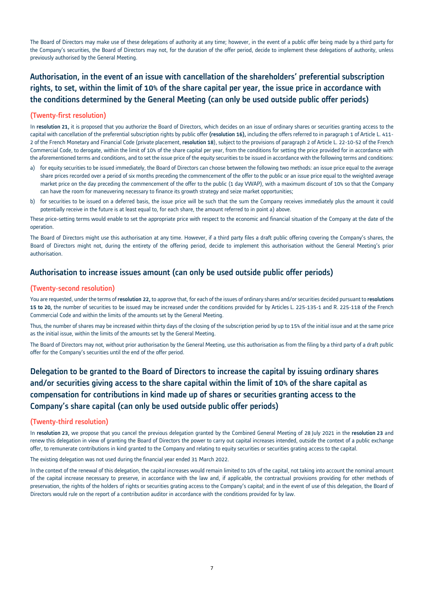The Board of Directors may make use of these delegations of authority at any time; however, in the event of a public offer being made by a third party for the Company's securities, the Board of Directors may not, for the duration of the offer period, decide to implement these delegations of authority, unless previously authorised by the General Meeting.

# Authorisation, in the event of an issue with cancellation of the shareholders' preferential subscription rights, to set, within the limit of 10% of the share capital per year, the issue price in accordance with the conditions determined by the General Meeting (can only be used outside public offer periods)

### (Twenty-first resolution)

In resolution 21, it is proposed that you authorize the Board of Directors, which decides on an issue of ordinary shares or securities granting access to the capital with cancellation of the preferential subscription rights by public offer (resolution 16), including the offers referred to in paragraph 1 of Article L. 411-2 of the French Monetary and Financial Code (private placement, resolution 18), subject to the provisions of paragraph 2 of Article L. 22-10-52 of the French Commercial Code, to derogate, within the limit of 10% of the share capital per year, from the conditions for setting the price provided for in accordance with the aforementioned terms and conditions, and to set the issue price of the equity securities to be issued in accordance with the following terms and conditions:

- a) for equity securities to be issued immediately, the Board of Directors can choose between the following two methods: an issue price equal to the average share prices recorded over a period of six months preceding the commencement of the offer to the public or an issue price equal to the weighted average market price on the day preceding the commencement of the offer to the public (1 day VWAP), with a maximum discount of 10% so that the Company can have the room for maneuvering necessary to finance its growth strategy and seize market opportunities;
- b) for securities to be issued on a deferred basis, the issue price will be such that the sum the Company receives immediately plus the amount it could potentially receive in the future is at least equal to, for each share, the amount referred to in point a) above.

These price-setting terms would enable to set the appropriate price with respect to the economic and financial situation of the Company at the date of the operation.

The Board of Directors might use this authorisation at any time. However, if a third party files a draft public offering covering the Company's shares, the Board of Directors might not, during the entirety of the offering period, decide to implement this authorisation without the General Meeting's prior authorisation.

# Authorisation to increase issues amount (can only be used outside public offer periods)

#### (Twenty-second resolution)

You are requested, under the terms of resolution 22, to approve that, for each of the issues of ordinary shares and/or securities decided pursuant to resolutions 15 to 20, the number of securities to be issued may be increased under the conditions provided for by Articles L. 225-135-1 and R. 225-118 of the French Commercial Code and within the limits of the amounts set by the General Meeting.

Thus, the number of shares may be increased within thirty days of the closing of the subscription period by up to 15% of the initial issue and at the same price as the initial issue, within the limits of the amounts set by the General Meeting.

The Board of Directors may not, without prior authorisation by the General Meeting, use this authorisation as from the filing by a third party of a draft public offer for the Company's securities until the end of the offer period.

# Delegation to be granted to the Board of Directors to increase the capital by issuing ordinary shares and/or securities giving access to the share capital within the limit of 10% of the share capital as compensation for contributions in kind made up of shares or securities granting access to the Company's share capital (can only be used outside public offer periods)

#### (Twenty-third resolution)

In resolution 23, we propose that you cancel the previous delegation granted by the Combined General Meeting of 28 July 2021 in the resolution 23 and renew this delegation in view of granting the Board of Directors the power to carry out capital increases intended, outside the context of a public exchange offer, to remunerate contributions in kind granted to the Company and relating to equity securities or securities grating access to the capital.

The existing delegation was not used during the financial year ended 31 March 2022.

In the context of the renewal of this delegation, the capital increases would remain limited to 10% of the capital, not taking into account the nominal amount of the capital increase necessary to preserve, in accordance with the law and, if applicable, the contractual provisions providing for other methods of preservation, the rights of the holders of rights or securities grating access to the Company's capital; and in the event of use of this delegation, the Board of Directors would rule on the report of a contribution auditor in accordance with the conditions provided for by law.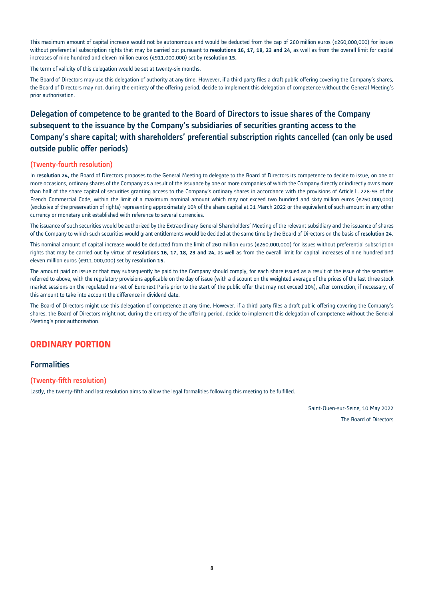This maximum amount of capital increase would not be autonomous and would be deducted from the cap of 260 million euros (€260,000,000) for issues without preferential subscription rights that may be carried out pursuant to resolutions 16, 17, 18, 23 and 24, as well as from the overall limit for capital increases of nine hundred and eleven million euros (€911,000,000) set by resolution 15.

The term of validity of this delegation would be set at twenty-six months.

The Board of Directors may use this delegation of authority at any time. However, if a third party files a draft public offering covering the Company's shares, the Board of Directors may not, during the entirety of the offering period, decide to implement this delegation of competence without the General Meeting's prior authorisation.

# Delegation of competence to be granted to the Board of Directors to issue shares of the Company subsequent to the issuance by the Company's subsidiaries of securities granting access to the Company's share capital; with shareholders' preferential subscription rights cancelled (can only be used outside public offer periods)

#### (Twenty-fourth resolution)

In resolution 24, the Board of Directors proposes to the General Meeting to delegate to the Board of Directors its competence to decide to issue, on one or more occasions, ordinary shares of the Company as a result of the issuance by one or more companies of which the Company directly or indirectly owns more than half of the share capital of securities granting access to the Company's ordinary shares in accordance with the provisions of Article L. 228-93 of the French Commercial Code, within the limit of a maximum nominal amount which may not exceed two hundred and sixty million euros (€260,000,000) (exclusive of the preservation of rights) representing approximately 10% of the share capital at 31 March 2022 or the equivalent of such amount in any other currency or monetary unit established with reference to several currencies.

The issuance of such securities would be authorized by the Extraordinary General Shareholders' Meeting of the relevant subsidiary and the issuance of shares of the Company to which such securities would grant entitlements would be decided at the same time by the Board of Directors on the basis of resolution 24.

This nominal amount of capital increase would be deducted from the limit of 260 million euros (€260,000,000) for issues without preferential subscription rights that may be carried out by virtue of resolutions 16, 17, 18, 23 and 24, as well as from the overall limit for capital increases of nine hundred and eleven million euros (€911,000,000) set by resolution 15.

The amount paid on issue or that may subsequently be paid to the Company should comply, for each share issued as a result of the issue of the securities referred to above, with the regulatory provisions applicable on the day of issue (with a discount on the weighted average of the prices of the last three stock market sessions on the regulated market of Euronext Paris prior to the start of the public offer that may not exceed 10%), after correction, if necessary, of this amount to take into account the difference in dividend date.

The Board of Directors might use this delegation of competence at any time. However, if a third party files a draft public offering covering the Company's shares, the Board of Directors might not, during the entirety of the offering period, decide to implement this delegation of competence without the General Meeting's prior authorisation.

# **ORDINARY PORTION**

### **Formalities**

#### (Twenty-fifth resolution)

Lastly, the twenty-fifth and last resolution aims to allow the legal formalities following this meeting to be fulfilled.

Saint-Ouen-sur-Seine, 10 May 2022 The Board of Directors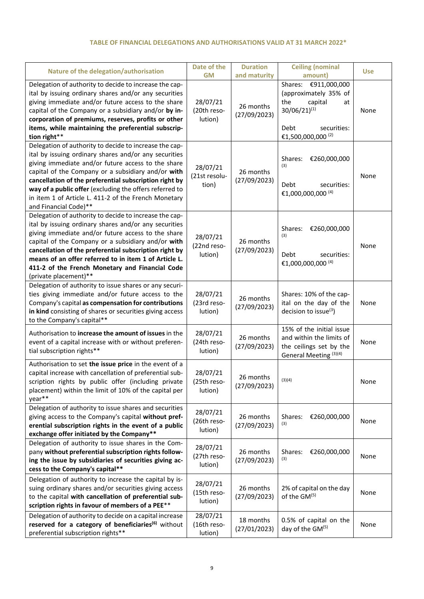# **TABLE OF FINANCIAL DELEGATIONS AND AUTHORISATIONS VALID AT 31 MARCH 2022\***

|                                                                                                                                                                                                                                                                                                                                                                                                                                   | Date of the                        | <b>Duration</b>           | <b>Ceiling (nominal</b>                                                                                                                            |            |
|-----------------------------------------------------------------------------------------------------------------------------------------------------------------------------------------------------------------------------------------------------------------------------------------------------------------------------------------------------------------------------------------------------------------------------------|------------------------------------|---------------------------|----------------------------------------------------------------------------------------------------------------------------------------------------|------------|
| Nature of the delegation/authorisation                                                                                                                                                                                                                                                                                                                                                                                            | <b>GM</b>                          | and maturity              | amount)                                                                                                                                            | <b>Use</b> |
| Delegation of authority to decide to increase the cap-<br>ital by issuing ordinary shares and/or any securities<br>giving immediate and/or future access to the share<br>capital of the Company or a subsidiary and/or by in-<br>corporation of premiums, reserves, profits or other<br>items, while maintaining the preferential subscrip-<br>tion right**                                                                       | 28/07/21<br>(20th reso-<br>lution) | 26 months<br>(27/09/2023) | Shares: €911,000,000<br>(approximately 35% of<br>the<br>capital<br>at<br>$30/06/21)^{(1)}$<br>Debt<br>securities:<br>€1,500,000,000 <sup>(2)</sup> | None       |
| Delegation of authority to decide to increase the cap-<br>ital by issuing ordinary shares and/or any securities<br>giving immediate and/or future access to the share<br>capital of the Company or a subsidiary and/or with<br>cancellation of the preferential subscription right by<br>way of a public offer (excluding the offers referred to<br>in item 1 of Article L. 411-2 of the French Monetary<br>and Financial Code)** | 28/07/21<br>(21st resolu-<br>tion) | 26 months<br>(27/09/2023) | Shares:<br>€260,000,000<br>(3)<br>Debt<br>securities:<br>€1,000,000,000 <sup>(4)</sup>                                                             | None       |
| Delegation of authority to decide to increase the cap-<br>ital by issuing ordinary shares and/or any securities<br>giving immediate and/or future access to the share<br>capital of the Company or a subsidiary and/or with<br>cancellation of the preferential subscription right by<br>means of an offer referred to in item 1 of Article L.<br>411-2 of the French Monetary and Financial Code<br>(private placement)**        | 28/07/21<br>(22nd reso-<br>lution) | 26 months<br>(27/09/2023) | €260,000,000<br>Shares:<br>(3)<br>Debt<br>securities:<br>€1,000,000,000 <sup>(4)</sup>                                                             | None       |
| Delegation of authority to issue shares or any securi-<br>ties giving immediate and/or future access to the<br>Company's capital as compensation for contributions<br>in kind consisting of shares or securities giving access<br>to the Company's capital**                                                                                                                                                                      | 28/07/21<br>(23rd reso-<br>lution) | 26 months<br>(27/09/2023) | Shares: 10% of the cap-<br>ital on the day of the<br>decision to issue $(3)$                                                                       | None       |
| Authorisation to increase the amount of issues in the<br>event of a capital increase with or without preferen-<br>tial subscription rights**                                                                                                                                                                                                                                                                                      | 28/07/21<br>(24th reso-<br>lution) | 26 months<br>(27/09/2023) | 15% of the initial issue<br>and within the limits of<br>the ceilings set by the<br>General Meeting <sup>(3)(4)</sup>                               | None       |
| Authorisation to set the issue price in the event of a<br>capital increase with cancellation of preferential sub-<br>scription rights by public offer (including private<br>placement) within the limit of 10% of the capital per<br>year**                                                                                                                                                                                       | 28/07/21<br>(25th reso-<br>lution) | 26 months<br>(27/09/2023) | (3)(4)                                                                                                                                             | None       |
| Delegation of authority to issue shares and securities<br>giving access to the Company's capital without pref-<br>erential subscription rights in the event of a public<br>exchange offer initiated by the Company**                                                                                                                                                                                                              | 28/07/21<br>(26th reso-<br>lution) | 26 months<br>(27/09/2023) | €260,000,000<br>Shares:<br>(3)                                                                                                                     | None       |
| Delegation of authority to issue shares in the Com-<br>pany without preferential subscription rights follow-<br>ing the issue by subsidiaries of securities giving ac-<br>cess to the Company's capital**                                                                                                                                                                                                                         | 28/07/21<br>(27th reso-<br>lution) | 26 months<br>(27/09/2023) | €260,000,000<br>Shares:<br>(3)                                                                                                                     | None       |
| Delegation of authority to increase the capital by is-<br>suing ordinary shares and/or securities giving access<br>to the capital with cancellation of preferential sub-<br>scription rights in favour of members of a PEE**                                                                                                                                                                                                      | 28/07/21<br>(15th reso-<br>lution) | 26 months<br>(27/09/2023) | 2% of capital on the day<br>of the GM(5)                                                                                                           | None       |
| Delegation of authority to decide on a capital increase<br>reserved for a category of beneficiaries <sup>(6)</sup> without<br>preferential subscription rights**                                                                                                                                                                                                                                                                  | 28/07/21<br>(16th reso-<br>lution) | 18 months<br>(27/01/2023) | 0.5% of capital on the<br>day of the GM(5)                                                                                                         | None       |